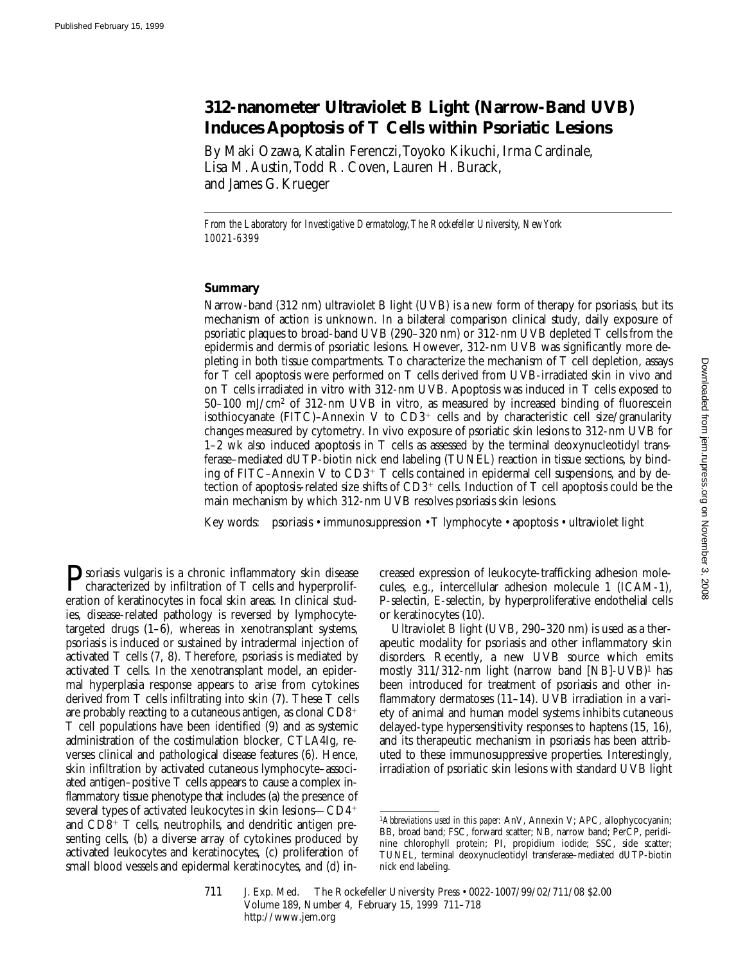# **312-nanometer Ultraviolet B Light (Narrow-Band UVB) Induces Apoptosis of T Cells within Psoriatic Lesions**

By Maki Ozawa, Katalin Ferenczi, Toyoko Kikuchi, Irma Cardinale, Lisa M. Austin, Todd R. Coven, Lauren H. Burack, and James G. Krueger

*From the Laboratory for Investigative Dermatology, The Rockefeller University, New York 10021-6399*

### **Summary**

Narrow-band (312 nm) ultraviolet B light (UVB) is a new form of therapy for psoriasis, but its mechanism of action is unknown. In a bilateral comparison clinical study, daily exposure of psoriatic plaques to broad-band UVB (290–320 nm) or 312-nm UVB depleted T cells from the epidermis and dermis of psoriatic lesions. However, 312-nm UVB was significantly more depleting in both tissue compartments. To characterize the mechanism of T cell depletion, assays for T cell apoptosis were performed on T cells derived from UVB-irradiated skin in vivo and on T cells irradiated in vitro with 312-nm UVB. Apoptosis was induced in T cells exposed to 50–100 mJ/cm2 of 312-nm UVB in vitro, as measured by increased binding of fluorescein isothiocyanate (FITC)–Annexin V to  $CD3^+$  cells and by characteristic cell size/granularity changes measured by cytometry. In vivo exposure of psoriatic skin lesions to 312-nm UVB for 1–2 wk also induced apoptosis in T cells as assessed by the terminal deoxynucleotidyl transferase–mediated dUTP-biotin nick end labeling (TUNEL) reaction in tissue sections, by binding of FITC–Annexin V to  $CD3^+$  T cells contained in epidermal cell suspensions, and by detection of apoptosis-related size shifts of  $CD3^+$  cells. Induction of T cell apoptosis could be the main mechanism by which 312-nm UVB resolves psoriasis skin lesions.

Key words: psoriasis • immunosuppression • T lymphocyte • apoptosis • ultraviolet light

**P**soriasis vulgaris is a chronic inflammatory skin disease<br>characterized by infiltration of T cells and hyperprolif-<br>continue of learning stress in focal clinical contexts in direction eration of keratinocytes in focal skin areas. In clinical studies, disease-related pathology is reversed by lymphocytetargeted drugs (1–6), whereas in xenotransplant systems, psoriasis is induced or sustained by intradermal injection of activated T cells (7, 8). Therefore, psoriasis is mediated by activated T cells. In the xenotransplant model, an epidermal hyperplasia response appears to arise from cytokines derived from T cells infiltrating into skin (7). These T cells are probably reacting to a cutaneous antigen, as clonal  $CD8<sup>+</sup>$ T cell populations have been identified (9) and as systemic administration of the costimulation blocker, CTLA4Ig, reverses clinical and pathological disease features (6). Hence, skin infiltration by activated cutaneous lymphocyte–associated antigen–positive T cells appears to cause a complex inflammatory tissue phenotype that includes (a) the presence of several types of activated leukocytes in skin lesions— $CD4^+$ and  $CD8^+$  T cells, neutrophils, and dendritic antigen presenting cells, (b) a diverse array of cytokines produced by activated leukocytes and keratinocytes, (c) proliferation of small blood vessels and epidermal keratinocytes, and (d) in-

creased expression of leukocyte-trafficking adhesion molecules, e.g., intercellular adhesion molecule 1 (ICAM-1), P-selectin, E-selectin, by hyperproliferative endothelial cells or keratinocytes (10).

Ultraviolet B light (UVB, 290–320 nm) is used as a therapeutic modality for psoriasis and other inflammatory skin disorders. Recently, a new UVB source which emits mostly 311/312-nm light (narrow band [NB]-UVB)1 has been introduced for treatment of psoriasis and other inflammatory dermatoses (11–14). UVB irradiation in a variety of animal and human model systems inhibits cutaneous delayed-type hypersensitivity responses to haptens (15, 16), and its therapeutic mechanism in psoriasis has been attributed to these immunosuppressive properties. Interestingly, irradiation of psoriatic skin lesions with standard UVB light

<sup>1</sup>*Abbreviations used in this paper:* AnV, Annexin V; APC, allophycocyanin; BB, broad band; FSC, forward scatter; NB, narrow band; PerCP, peridinine chlorophyll protein; PI, propidium iodide; SSC, side scatter; TUNEL, terminal deoxynucleotidyl transferase–mediated dUTP-biotin nick end labeling.

<sup>711</sup> J. Exp. Med. The Rockefeller University Press • 0022-1007/99/02/711/08 \$2.00 Volume 189, Number 4, February 15, 1999 711–718 http://www.jem.org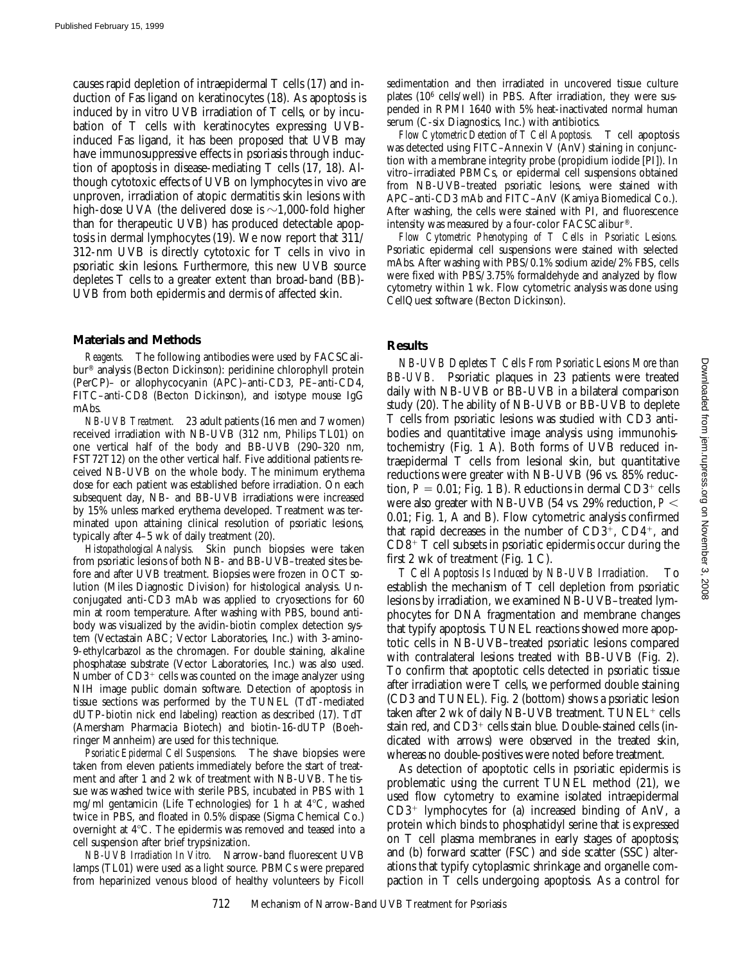causes rapid depletion of intraepidermal T cells (17) and induction of Fas ligand on keratinocytes (18). As apoptosis is induced by in vitro UVB irradiation of T cells, or by incubation of T cells with keratinocytes expressing UVBinduced Fas ligand, it has been proposed that UVB may have immunosuppressive effects in psoriasis through induction of apoptosis in disease-mediating T cells (17, 18). Although cytotoxic effects of UVB on lymphocytes in vivo are unproven, irradiation of atopic dermatitis skin lesions with high-dose UVA (the delivered dose is  $\sim$ 1,000-fold higher than for therapeutic UVB) has produced detectable apoptosis in dermal lymphocytes (19). We now report that 311/ 312-nm UVB is directly cytotoxic for T cells in vivo in psoriatic skin lesions. Furthermore, this new UVB source depletes T cells to a greater extent than broad-band (BB)- UVB from both epidermis and dermis of affected skin.

#### **Materials and Methods**

*Reagents.* The following antibodies were used by FACSCalibur® analysis (Becton Dickinson): peridinine chlorophyll protein (PerCP)– or allophycocyanin (APC)–anti-CD3, PE–anti-CD4, FITC–anti-CD8 (Becton Dickinson), and isotype mouse IgG mAbs.

*NB-UVB Treatment.* 23 adult patients (16 men and 7 women) received irradiation with NB-UVB (312 nm, Philips TL01) on one vertical half of the body and BB-UVB (290–320 nm, FST72T12) on the other vertical half. Five additional patients received NB-UVB on the whole body. The minimum erythema dose for each patient was established before irradiation. On each subsequent day, NB- and BB-UVB irradiations were increased by 15% unless marked erythema developed. Treatment was terminated upon attaining clinical resolution of psoriatic lesions, typically after 4–5 wk of daily treatment (20).

*Histopathological Analysis.* Skin punch biopsies were taken from psoriatic lesions of both NB- and BB-UVB–treated sites before and after UVB treatment. Biopsies were frozen in OCT solution (Miles Diagnostic Division) for histological analysis. Unconjugated anti-CD3 mAb was applied to cryosections for 60 min at room temperature. After washing with PBS, bound antibody was visualized by the avidin-biotin complex detection system (Vectastain ABC; Vector Laboratories, Inc.) with 3-amino-9-ethylcarbazol as the chromagen. For double staining, alkaline phosphatase substrate (Vector Laboratories, Inc.) was also used. Number of  $CD3<sup>+</sup>$  cells was counted on the image analyzer using NIH image public domain software. Detection of apoptosis in tissue sections was performed by the TUNEL (TdT-mediated dUTP-biotin nick end labeling) reaction as described (17). TdT (Amersham Pharmacia Biotech) and biotin-16-dUTP (Boehringer Mannheim) are used for this technique.

*Psoriatic Epidermal Cell Suspensions.* The shave biopsies were taken from eleven patients immediately before the start of treatment and after 1 and 2 wk of treatment with NB-UVB. The tissue was washed twice with sterile PBS, incubated in PBS with 1 mg/ml gentamicin (Life Technologies) for 1 h at  $4^{\circ}$ C, washed twice in PBS, and floated in 0.5% dispase (Sigma Chemical Co.) overnight at  $4^{\circ}$ C. The epidermis was removed and teased into a cell suspension after brief trypsinization.

*NB-UVB Irradiation In Vitro.* Narrow-band fluorescent UVB lamps (TL01) were used as a light source. PBMCs were prepared from heparinized venous blood of healthy volunteers by Ficoll sedimentation and then irradiated in uncovered tissue culture plates (106 cells/well) in PBS. After irradiation, they were suspended in RPMI 1640 with 5% heat-inactivated normal human serum (C-six Diagnostics, Inc.) with antibiotics.

*Flow Cytometric Detection of T Cell Apoptosis.* T cell apoptosis was detected using FITC–Annexin V (AnV) staining in conjunction with a membrane integrity probe (propidium iodide [PI]). In vitro–irradiated PBMCs, or epidermal cell suspensions obtained from NB-UVB–treated psoriatic lesions, were stained with APC–anti-CD3 mAb and FITC–AnV (Kamiya Biomedical Co.). After washing, the cells were stained with PI, and fluorescence intensity was measured by a four-color FACSCalibur®.

*Flow Cytometric Phenotyping of T Cells in Psoriatic Lesions.* Psoriatic epidermal cell suspensions were stained with selected mAbs. After washing with PBS/0.1% sodium azide/2% FBS, cells were fixed with PBS/3.75% formaldehyde and analyzed by flow cytometry within 1 wk. Flow cytometric analysis was done using CellQuest software (Becton Dickinson).

#### **Results**

*NB-UVB Depletes T Cells From Psoriatic Lesions More than BB-UVB.* Psoriatic plaques in 23 patients were treated daily with NB-UVB or BB-UVB in a bilateral comparison study (20). The ability of NB-UVB or BB-UVB to deplete T cells from psoriatic lesions was studied with CD3 antibodies and quantitative image analysis using immunohistochemistry (Fig. 1 A). Both forms of UVB reduced intraepidermal T cells from lesional skin, but quantitative reductions were greater with NB-UVB (96 vs. 85% reduction,  $P = 0.01$ ; Fig. 1 B). Reductions in dermal  $CD3^+$  cells were also greater with NB-UVB (54 vs. 29% reduction,  $P \leq$ 0.01; Fig. 1, A and B). Flow cytometric analysis confirmed that rapid decreases in the number of  $CD3^+$ ,  $CD4^+$ , and  $CD8^+$  T cell subsets in psoriatic epidermis occur during the first 2 wk of treatment (Fig. 1 C).

*T Cell Apoptosis Is Induced by NB-UVB Irradiation.* To establish the mechanism of T cell depletion from psoriatic lesions by irradiation, we examined NB-UVB–treated lymphocytes for DNA fragmentation and membrane changes that typify apoptosis. TUNEL reactions showed more apoptotic cells in NB-UVB–treated psoriatic lesions compared with contralateral lesions treated with BB-UVB (Fig. 2). To confirm that apoptotic cells detected in psoriatic tissue after irradiation were T cells, we performed double staining (CD3 and TUNEL). Fig. 2 (bottom) shows a psoriatic lesion taken after 2 wk of daily NB-UVB treatment.  $TUNEL<sup>+</sup>$  cells stain red, and  $CD3^+$  cells stain blue. Double-stained cells (indicated with arrows) were observed in the treated skin, whereas no double-positives were noted before treatment.

As detection of apoptotic cells in psoriatic epidermis is problematic using the current TUNEL method (21), we used flow cytometry to examine isolated intraepidermal  $CD3^+$  lymphocytes for (a) increased binding of AnV, a protein which binds to phosphatidyl serine that is expressed on T cell plasma membranes in early stages of apoptosis; and (b) forward scatter (FSC) and side scatter (SSC) alterations that typify cytoplasmic shrinkage and organelle compaction in T cells undergoing apoptosis. As a control for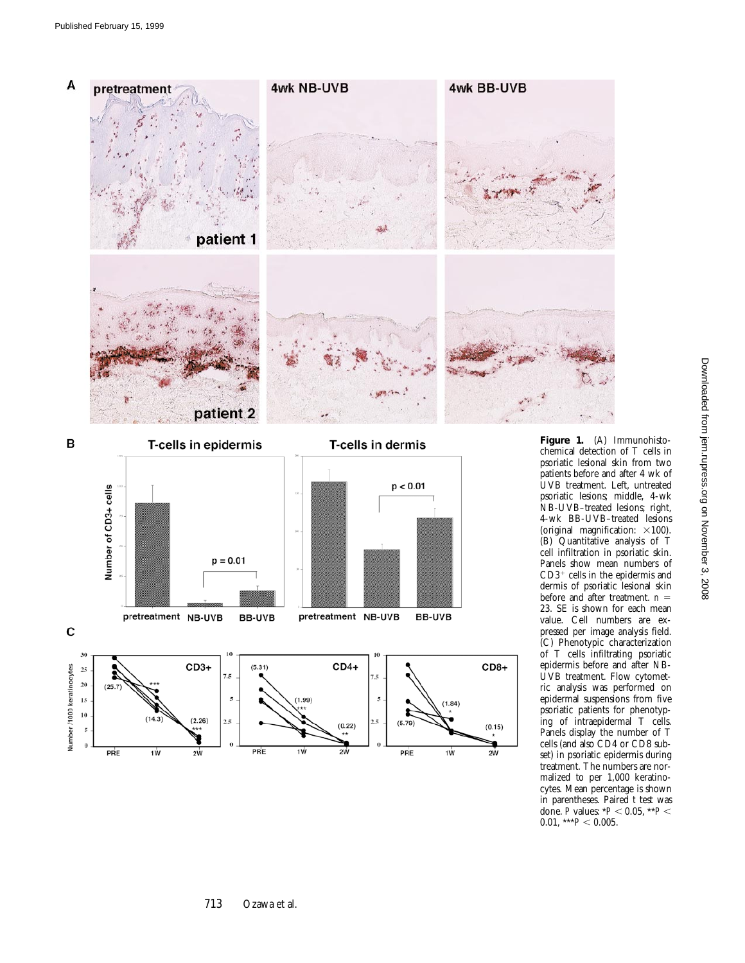



**Figure 1.** (A) Immunohistochemical detection of T cells in psoriatic lesional skin from two patients before and after 4 wk of UVB treatment. Left, untreated psoriatic lesions; middle, 4-wk NB-UVB–treated lesions; right, 4-wk BB-UVB–treated lesions (original magnification:  $\times$ 100). (B) Quantitative analysis of T cell infiltration in psoriatic skin. Panels show mean numbers of  ${\rm CD3^+}$  cells in the epidermis and dermis of psoriatic lesional skin before and after treatment. *n* = 23. SE is shown for each mean value. Cell numbers are expressed per image analysis field. (C) Phenotypic characterization of T cells infiltrating psoriatic epidermis before and after NB-UVB treatment. Flow cytometric analysis was performed on epidermal suspensions from five psoriatic patients for phenotyping of intraepidermal T cells. Panels display the number of T cells (and also CD4 or CD8 subset) in psoriatic epidermis during treatment. The numbers are normalized to per 1,000 keratinocytes. Mean percentage is shown in parentheses. Paired *t* test was done. *P* values: \* $P$  < 0.05, \*\* $P$  <  $0.01,$  \*\*\* $P < 0.005$ .

 $p = 0.01$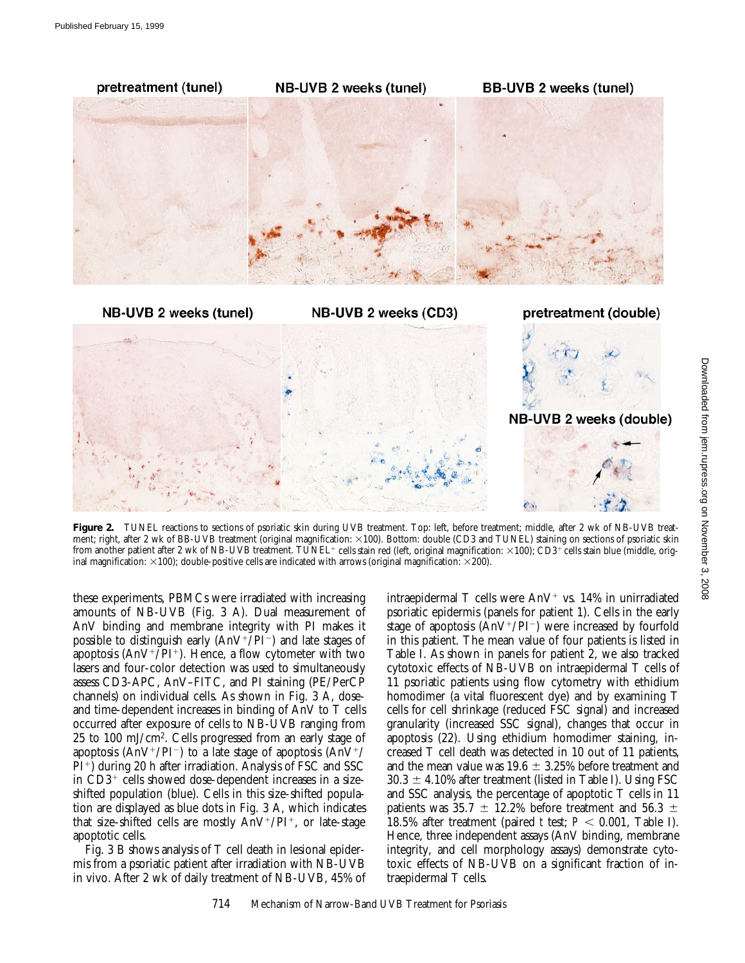

Figure 2. TUNEL reactions to sections of psoriatic skin during UVB treatment. Top: left, before treatment; middle, after 2 wk of NB-UVB treatment; right, after 2 wk of BB-UVB treatment (original magnification:  $\times$ 100). Bottom: double (CD3 and TUNEL) staining on sections of psoriatic skin from another patient after 2 wk of NB-UVB treatment. TUNEL<sup>+</sup> cells stain red (left, original magnification:  $\times$ 100); CD3<sup>+</sup> cells stain blue (middle, original magnification:  $\times$ 100); double-positive cells are indicated with arrows (original magnification:  $\times$ 200).

these experiments, PBMCs were irradiated with increasing amounts of NB-UVB (Fig. 3 A). Dual measurement of AnV binding and membrane integrity with PI makes it possible to distinguish early  $(AnV^+/PI^-)$  and late stages of apoptosis ( $\text{AnV}^{\text{+}}/\text{PI}^{\text{+}}$ ). Hence, a flow cytometer with two lasers and four-color detection was used to simultaneously assess CD3-APC, AnV–FITC, and PI staining (PE/PerCP channels) on individual cells. As shown in Fig. 3 A, doseand time-dependent increases in binding of AnV to T cells occurred after exposure of cells to NB-UVB ranging from 25 to 100 mJ/cm2. Cells progressed from an early stage of apoptosis (AnV<sup>+</sup>/PI<sup>-</sup>) to a late stage of apoptosis (AnV<sup>+</sup>/  $PI^+$ ) during 20 h after irradiation. Analysis of FSC and SSC in  $CD3^+$  cells showed dose-dependent increases in a sizeshifted population (blue). Cells in this size-shifted population are displayed as blue dots in Fig. 3 A, which indicates that size-shifted cells are mostly  $AnV^+/PI^+$ , or late-stage apoptotic cells.

Fig. 3 B shows analysis of T cell death in lesional epidermis from a psoriatic patient after irradiation with NB-UVB in vivo. After 2 wk of daily treatment of NB-UVB, 45% of intraepidermal T cells were  $AnV^+$  vs. 14% in unirradiated psoriatic epidermis (panels for patient 1). Cells in the early stage of apoptosis  $(AnV^+/PI^-)$  were increased by fourfold in this patient. The mean value of four patients is listed in Table I. As shown in panels for patient 2, we also tracked cytotoxic effects of NB-UVB on intraepidermal T cells of 11 psoriatic patients using flow cytometry with ethidium homodimer (a vital fluorescent dye) and by examining T cells for cell shrinkage (reduced FSC signal) and increased granularity (increased SSC signal), changes that occur in apoptosis (22). Using ethidium homodimer staining, increased T cell death was detected in 10 out of 11 patients, and the mean value was  $19.6 \pm 3.25\%$  before treatment and  $30.3 \pm 4.10\%$  after treatment (listed in Table I). Using FSC and SSC analysis, the percentage of apoptotic T cells in 11 patients was 35.7  $\pm$  12.2% before treatment and 56.3  $\pm$ 18.5% after treatment (paired *t* test;  $P < 0.001$ , Table I). Hence, three independent assays (AnV binding, membrane integrity, and cell morphology assays) demonstrate cytotoxic effects of NB-UVB on a significant fraction of intraepidermal T cells.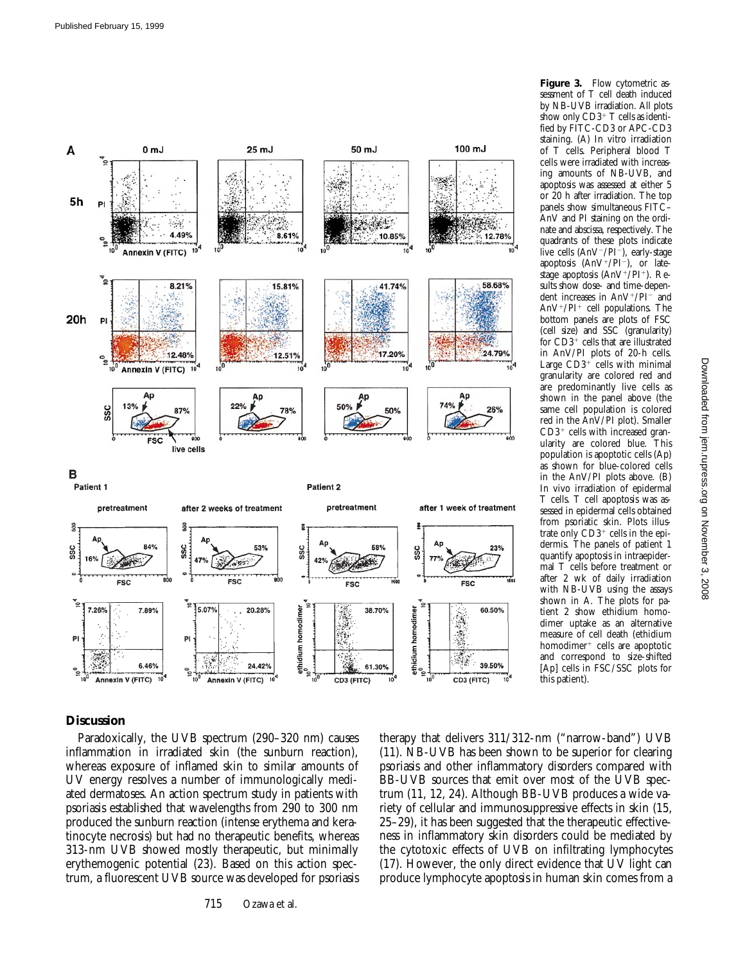

**Figure 3.** Flow cytometric assessment of T cell death induced

## **Discussion**

Paradoxically, the UVB spectrum (290–320 nm) causes inflammation in irradiated skin (the sunburn reaction), whereas exposure of inflamed skin to similar amounts of UV energy resolves a number of immunologically mediated dermatoses. An action spectrum study in patients with psoriasis established that wavelengths from 290 to 300 nm produced the sunburn reaction (intense erythema and keratinocyte necrosis) but had no therapeutic benefits, whereas 313-nm UVB showed mostly therapeutic, but minimally erythemogenic potential (23). Based on this action spectrum, a fluorescent UVB source was developed for psoriasis

715 Ozawa et al.

therapy that delivers 311/312-nm ("narrow-band") UVB (11). NB-UVB has been shown to be superior for clearing psoriasis and other inflammatory disorders compared with BB-UVB sources that emit over most of the UVB spectrum (11, 12, 24). Although BB-UVB produces a wide variety of cellular and immunosuppressive effects in skin (15, 25–29), it has been suggested that the therapeutic effectiveness in inflammatory skin disorders could be mediated by the cytotoxic effects of UVB on infiltrating lymphocytes (17). However, the only direct evidence that UV light can produce lymphocyte apoptosis in human skin comes from a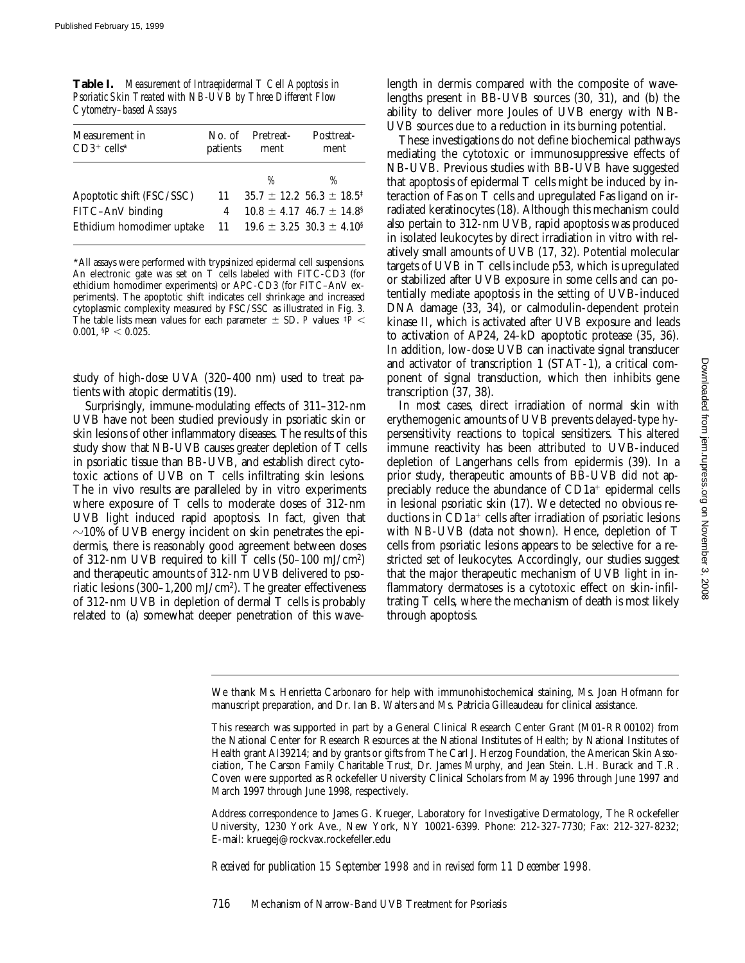| <b>Table I.</b> Measurement of Intraepidermal T Cell Apoptosis in |
|-------------------------------------------------------------------|
| Psoriatic Skin Treated with NB-UVB by Three Different Flow        |
| Cytometry–based Assays                                            |

| Measurement in            | No. of   | Pretreat- | Posttreat-                                      |
|---------------------------|----------|-----------|-------------------------------------------------|
| $CD3^+$ cells*            | patients | ment      | ment                                            |
|                           |          | %         | %                                               |
| Apoptotic shift (FSC/SSC) | 11       |           | $35.7 \pm 12.2$ 56.3 $\pm$ 18.5 <sup>‡</sup>    |
| FITC-AnV binding          | 4        |           | $10.8 \pm 4.17$ 46.7 $\pm$ 14.8 <sup>§</sup>    |
| Ethidium homodimer uptake |          |           | 11 19.6 $\pm$ 3.25 30.3 $\pm$ 4.10 <sup>§</sup> |

\*All assays were performed with trypsinized epidermal cell suspensions. An electronic gate was set on T cells labeled with FITC-CD3 (for ethidium homodimer experiments) or APC-CD3 (for FITC–AnV experiments). The apoptotic shift indicates cell shrinkage and increased cytoplasmic complexity measured by FSC/SSC as illustrated in Fig. 3. The table lists mean values for each parameter  $\pm$  SD. *P* values:  $\frac{p}{p}$ 0.001,  $P < 0.025$ .

study of high-dose UVA (320–400 nm) used to treat patients with atopic dermatitis (19).

Surprisingly, immune-modulating effects of 311–312-nm UVB have not been studied previously in psoriatic skin or skin lesions of other inflammatory diseases. The results of this study show that NB-UVB causes greater depletion of T cells in psoriatic tissue than BB-UVB, and establish direct cytotoxic actions of UVB on T cells infiltrating skin lesions. The in vivo results are paralleled by in vitro experiments where exposure of T cells to moderate doses of 312-nm UVB light induced rapid apoptosis. In fact, given that  $\sim$ 10% of UVB energy incident on skin penetrates the epidermis, there is reasonably good agreement between doses of 312-nm UVB required to kill T cells (50–100 mJ/cm2) and therapeutic amounts of 312-nm UVB delivered to psoriatic lesions (300–1,200 mJ/cm2). The greater effectiveness of 312-nm UVB in depletion of dermal T cells is probably related to (a) somewhat deeper penetration of this wavelength in dermis compared with the composite of wavelengths present in BB-UVB sources (30, 31), and (b) the ability to deliver more Joules of UVB energy with NB-UVB sources due to a reduction in its burning potential.

These investigations do not define biochemical pathways mediating the cytotoxic or immunosuppressive effects of NB-UVB. Previous studies with BB-UVB have suggested that apoptosis of epidermal T cells might be induced by interaction of Fas on T cells and upregulated Fas ligand on irradiated keratinocytes (18). Although this mechanism could also pertain to 312-nm UVB, rapid apoptosis was produced in isolated leukocytes by direct irradiation in vitro with relatively small amounts of UVB (17, 32). Potential molecular targets of UVB in T cells include p53, which is upregulated or stabilized after UVB exposure in some cells and can potentially mediate apoptosis in the setting of UVB-induced DNA damage (33, 34), or calmodulin-dependent protein kinase II, which is activated after UVB exposure and leads to activation of AP24, 24-kD apoptotic protease (35, 36). In addition, low-dose UVB can inactivate signal transducer and activator of transcription 1 (STAT-1), a critical component of signal transduction, which then inhibits gene transcription (37, 38).

In most cases, direct irradiation of normal skin with erythemogenic amounts of UVB prevents delayed-type hypersensitivity reactions to topical sensitizers. This altered immune reactivity has been attributed to UVB-induced depletion of Langerhans cells from epidermis (39). In a prior study, therapeutic amounts of BB-UVB did not appreciably reduce the abundance of  $CD1a<sup>+</sup>$  epidermal cells in lesional psoriatic skin (17). We detected no obvious reductions in  $CD1a<sup>+</sup>$  cells after irradiation of psoriatic lesions with NB-UVB (data not shown). Hence, depletion of T cells from psoriatic lesions appears to be selective for a restricted set of leukocytes. Accordingly, our studies suggest that the major therapeutic mechanism of UVB light in inflammatory dermatoses is a cytotoxic effect on skin-infiltrating T cells, where the mechanism of death is most likely through apoptosis.

Address correspondence to James G. Krueger, Laboratory for Investigative Dermatology, The Rockefeller University, 1230 York Ave., New York, NY 10021-6399. Phone: 212-327-7730; Fax: 212-327-8232; E-mail: kruegej@rockvax.rockefeller.edu

*Received for publication 15 September 1998 and in revised form 11 December 1998.*

We thank Ms. Henrietta Carbonaro for help with immunohistochemical staining, Ms. Joan Hofmann for manuscript preparation, and Dr. Ian B. Walters and Ms. Patricia Gilleaudeau for clinical assistance.

This research was supported in part by a General Clinical Research Center Grant (M01-RR00102) from the National Center for Research Resources at the National Institutes of Health; by National Institutes of Health grant AI39214; and by grants or gifts from The Carl J. Herzog Foundation, the American Skin Association, The Carson Family Charitable Trust, Dr. James Murphy, and Jean Stein. L.H. Burack and T.R. Coven were supported as Rockefeller University Clinical Scholars from May 1996 through June 1997 and March 1997 through June 1998, respectively.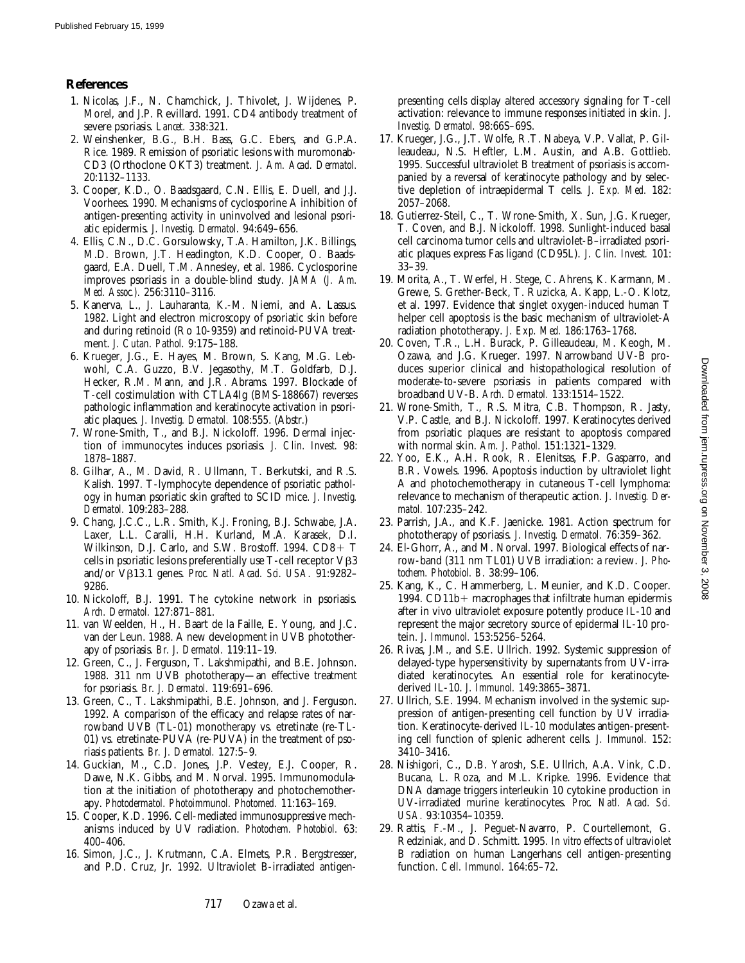## **References**

- 1. Nicolas, J.F., N. Chamchick, J. Thivolet, J. Wijdenes, P. Morel, and J.P. Revillard. 1991. CD4 antibody treatment of severe psoriasis. *Lancet.* 338:321.
- 2. Weinshenker, B.G., B.H. Bass, G.C. Ebers, and G.P.A. Rice. 1989. Remission of psoriatic lesions with muromonab-CD3 (Orthoclone OKT3) treatment. *J. Am. Acad. Dermatol.* 20:1132–1133.
- 3. Cooper, K.D., O. Baadsgaard, C.N. Ellis, E. Duell, and J.J. Voorhees. 1990. Mechanisms of cyclosporine A inhibition of antigen-presenting activity in uninvolved and lesional psoriatic epidermis. *J. Investig. Dermatol.* 94:649–656.
- 4. Ellis, C.N., D.C. Gorsulowsky, T.A. Hamilton, J.K. Billings, M.D. Brown, J.T. Headington, K.D. Cooper, O. Baadsgaard, E.A. Duell, T.M. Annesley, et al. 1986. Cyclosporine improves psoriasis in a double-blind study. *JAMA (J. Am. Med. Assoc.).* 256:3110–3116.
- 5. Kanerva, L., J. Lauharanta, K.-M. Niemi, and A. Lassus. 1982. Light and electron microscopy of psoriatic skin before and during retinoid (Ro 10-9359) and retinoid-PUVA treatment. *J. Cutan. Pathol.* 9:175–188.
- 6. Krueger, J.G., E. Hayes, M. Brown, S. Kang, M.G. Lebwohl, C.A. Guzzo, B.V. Jegasothy, M.T. Goldfarb, D.J. Hecker, R.M. Mann, and J.R. Abrams. 1997. Blockade of T-cell costimulation with CTLA4Ig (BMS-188667) reverses pathologic inflammation and keratinocyte activation in psoriatic plaques. *J. Investig. Dermatol.* 108:555. (Abstr.)
- 7. Wrone-Smith, T., and B.J. Nickoloff. 1996. Dermal injection of immunocytes induces psoriasis. *J. Clin. Invest.* 98: 1878–1887.
- 8. Gilhar, A., M. David, R. Ullmann, T. Berkutski, and R.S. Kalish. 1997. T-lymphocyte dependence of psoriatic pathology in human psoriatic skin grafted to SCID mice. *J. Investig. Dermatol.* 109:283–288.
- 9. Chang, J.C.C., L.R. Smith, K.J. Froning, B.J. Schwabe, J.A. Laxer, L.L. Caralli, H.H. Kurland, M.A. Karasek, D.I. Wilkinson, D.J. Carlo, and S.W. Brostoff.  $1994$ .  $CD8+T$ cells in psoriatic lesions preferentially use T-cell receptor  $V\beta3$ and/or Vb13.1 genes. *Proc. Natl. Acad. Sci. USA.* 91:9282– 9286.
- 10. Nickoloff, B.J. 1991. The cytokine network in psoriasis. *Arch. Dermatol.* 127:871–881.
- 11. van Weelden, H., H. Baart de la Faille, E. Young, and J.C. van der Leun. 1988. A new development in UVB phototherapy of psoriasis. *Br. J. Dermatol.* 119:11–19.
- 12. Green, C., J. Ferguson, T. Lakshmipathi, and B.E. Johnson. 1988. 311 nm UVB phototherapy—an effective treatment for psoriasis. *Br. J. Dermatol.* 119:691–696.
- 13. Green, C., T. Lakshmipathi, B.E. Johnson, and J. Ferguson. 1992. A comparison of the efficacy and relapse rates of narrowband UVB (TL-01) monotherapy vs. etretinate (re-TL-01) vs. etretinate-PUVA (re-PUVA) in the treatment of psoriasis patients. *Br. J. Dermatol.* 127:5–9.
- 14. Guckian, M., C.D. Jones, J.P. Vestey, E.J. Cooper, R. Dawe, N.K. Gibbs, and M. Norval. 1995. Immunomodulation at the initiation of phototherapy and photochemotherapy. *Photodermatol. Photoimmunol. Photomed.* 11:163–169.
- 15. Cooper, K.D. 1996. Cell-mediated immunosuppressive mechanisms induced by UV radiation. *Photochem. Photobiol.* 63: 400–406.
- 16. Simon, J.C., J. Krutmann, C.A. Elmets, P.R. Bergstresser, and P.D. Cruz, Jr. 1992. Ultraviolet B-irradiated antigen-

presenting cells display altered accessory signaling for T-cell activation: relevance to immune responses initiated in skin. *J. Investig. Dermatol.* 98:66S–69S.

- 17. Krueger, J.G., J.T. Wolfe, R.T. Nabeya, V.P. Vallat, P. Gilleaudeau, N.S. Heftler, L.M. Austin, and A.B. Gottlieb. 1995. Successful ultraviolet B treatment of psoriasis is accompanied by a reversal of keratinocyte pathology and by selective depletion of intraepidermal T cells. *J. Exp. Med.* 182: 2057–2068.
- 18. Gutierrez-Steil, C., T. Wrone-Smith, X. Sun, J.G. Krueger, T. Coven, and B.J. Nickoloff. 1998. Sunlight-induced basal cell carcinoma tumor cells and ultraviolet-B–irradiated psoriatic plaques express Fas ligand (CD95L). *J. Clin. Invest.* 101: 33–39.
- 19. Morita, A., T. Werfel, H. Stege, C. Ahrens, K. Karmann, M. Grewe, S. Grether-Beck, T. Ruzicka, A. Kapp, L.-O. Klotz, et al. 1997. Evidence that singlet oxygen-induced human T helper cell apoptosis is the basic mechanism of ultraviolet-A radiation phototherapy. *J. Exp. Med.* 186:1763–1768.
- 20. Coven, T.R., L.H. Burack, P. Gilleaudeau, M. Keogh, M. Ozawa, and J.G. Krueger. 1997. Narrowband UV-B produces superior clinical and histopathological resolution of moderate-to-severe psoriasis in patients compared with broadband UV-B. *Arch. Dermatol.* 133:1514–1522.
- 21. Wrone-Smith, T., R.S. Mitra, C.B. Thompson, R. Jasty, V.P. Castle, and B.J. Nickoloff. 1997. Keratinocytes derived from psoriatic plaques are resistant to apoptosis compared with normal skin. *Am. J. Pathol.* 151:1321–1329.
- 22. Yoo, E.K., A.H. Rook, R. Elenitsas, F.P. Gasparro, and B.R. Vowels. 1996. Apoptosis induction by ultraviolet light A and photochemotherapy in cutaneous T-cell lymphoma: relevance to mechanism of therapeutic action. *J. Investig. Dermatol.* 107:235–242.
- 23. Parrish, J.A., and K.F. Jaenicke. 1981. Action spectrum for phototherapy of psoriasis. *J. Investig. Dermatol.* 76:359–362.
- 24. El-Ghorr, A., and M. Norval. 1997. Biological effects of narrow-band (311 nm TL01) UVB irradiation: a review. *J. Photochem. Photobiol. B.* 38:99–106.
- 25. Kang, K., C. Hammerberg, L. Meunier, and K.D. Cooper. 1994.  $CD11b+$  macrophages that infiltrate human epidermis after in vivo ultraviolet exposure potently produce IL-10 and represent the major secretory source of epidermal IL-10 protein. *J. Immunol.* 153:5256–5264.
- 26. Rivas, J.M., and S.E. Ullrich. 1992. Systemic suppression of delayed-type hypersensitivity by supernatants from UV-irradiated keratinocytes. An essential role for keratinocytederived IL-10. *J. Immunol.* 149:3865–3871.
- 27. Ullrich, S.E. 1994. Mechanism involved in the systemic suppression of antigen-presenting cell function by UV irradiation. Keratinocyte-derived IL-10 modulates antigen-presenting cell function of splenic adherent cells. *J. Immunol.* 152: 3410–3416.
- 28. Nishigori, C., D.B. Yarosh, S.E. Ullrich, A.A. Vink, C.D. Bucana, L. Roza, and M.L. Kripke. 1996. Evidence that DNA damage triggers interleukin 10 cytokine production in UV-irradiated murine keratinocytes. *Proc. Natl. Acad. Sci. USA.* 93:10354–10359.
- 29. Rattis, F.-M., J. Peguet-Navarro, P. Courtellemont, G. Redziniak, and D. Schmitt. 1995. *In vitro* effects of ultraviolet B radiation on human Langerhans cell antigen-presenting function. *Cell. Immunol.* 164:65–72.